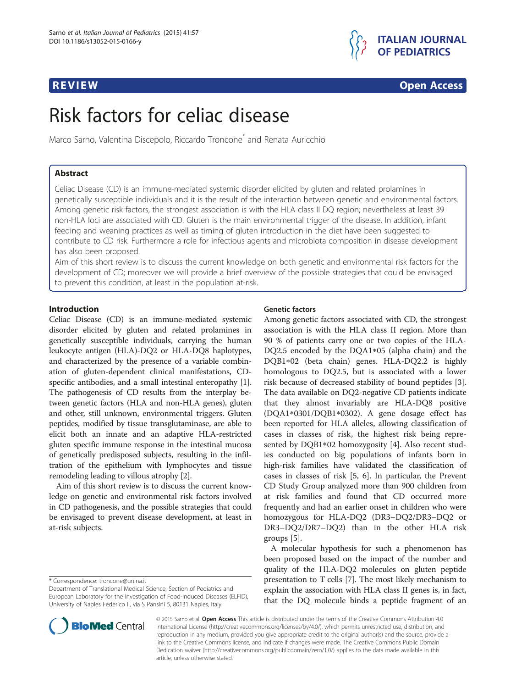

**REVIEW CONSTRUCTION CONSTRUCTION CONSTRUCTION CONSTRUCTS** 

# Risk factors for celiac disease

Marco Sarno, Valentina Discepolo, Riccardo Troncone<sup>\*</sup> and Renata Auricchio

# Abstract

Celiac Disease (CD) is an immune-mediated systemic disorder elicited by gluten and related prolamines in genetically susceptible individuals and it is the result of the interaction between genetic and environmental factors. Among genetic risk factors, the strongest association is with the HLA class II DQ region; nevertheless at least 39 non-HLA loci are associated with CD. Gluten is the main environmental trigger of the disease. In addition, infant feeding and weaning practices as well as timing of gluten introduction in the diet have been suggested to contribute to CD risk. Furthermore a role for infectious agents and microbiota composition in disease development has also been proposed.

Aim of this short review is to discuss the current knowledge on both genetic and environmental risk factors for the development of CD; moreover we will provide a brief overview of the possible strategies that could be envisaged to prevent this condition, at least in the population at-risk.

# Introduction

Celiac Disease (CD) is an immune-mediated systemic disorder elicited by gluten and related prolamines in genetically susceptible individuals, carrying the human leukocyte antigen (HLA)-DQ2 or HLA-DQ8 haplotypes, and characterized by the presence of a variable combination of gluten-dependent clinical manifestations, CDspecific antibodies, and a small intestinal enteropathy [[1](#page-4-0)]. The pathogenesis of CD results from the interplay between genetic factors (HLA and non-HLA genes), gluten and other, still unknown, environmental triggers. Gluten peptides, modified by tissue transglutaminase, are able to elicit both an innate and an adaptive HLA-restricted gluten specific immune response in the intestinal mucosa of genetically predisposed subjects, resulting in the infiltration of the epithelium with lymphocytes and tissue remodeling leading to villous atrophy [\[2](#page-4-0)].

Aim of this short review is to discuss the current knowledge on genetic and environmental risk factors involved in CD pathogenesis, and the possible strategies that could be envisaged to prevent disease development, at least in at-risk subjects.

# Genetic factors

Among genetic factors associated with CD, the strongest association is with the HLA class II region. More than 90 % of patients carry one or two copies of the HLA-DQ2.5 encoded by the DQA1∗05 (alpha chain) and the DQB1∗02 (beta chain) genes. HLA-DQ2.2 is highly homologous to DQ2.5, but is associated with a lower risk because of decreased stability of bound peptides [\[3](#page-4-0)]. The data available on DQ2-negative CD patients indicate that they almost invariably are HLA-DQ8 positive (DQA1∗0301/DQB1∗0302). A gene dosage effect has been reported for HLA alleles, allowing classification of cases in classes of risk, the highest risk being repre-sented by DQB1\*02 homozygosity [\[4](#page-4-0)]. Also recent studies conducted on big populations of infants born in high-risk families have validated the classification of cases in classes of risk [\[5](#page-4-0), [6](#page-4-0)]. In particular, the Prevent CD Study Group analyzed more than 900 children from at risk families and found that CD occurred more frequently and had an earlier onset in children who were homozygous for HLA-DQ2 (DR3–DQ2/DR3–DQ2 or DR3–DQ2/DR7–DQ2) than in the other HLA risk groups [[5\]](#page-4-0).

A molecular hypothesis for such a phenomenon has been proposed based on the impact of the number and quality of the HLA-DQ2 molecules on gluten peptide presentation to T cells [\[7](#page-4-0)]. The most likely mechanism to explain the association with HLA class II genes is, in fact, that the DQ molecule binds a peptide fragment of an



© 2015 Sarno et al. Open Access This article is distributed under the terms of the Creative Commons Attribution 4.0 International License [\(http://creativecommons.org/licenses/by/4.0/\)](http://creativecommons.org/licenses/by/4.0/), which permits unrestricted use, distribution, and reproduction in any medium, provided you give appropriate credit to the original author(s) and the source, provide a link to the Creative Commons license, and indicate if changes were made. The Creative Commons Public Domain Dedication waiver ([http://creativecommons.org/publicdomain/zero/1.0/\)](http://creativecommons.org/publicdomain/zero/1.0/) applies to the data made available in this article, unless otherwise stated.

<sup>\*</sup> Correspondence: [troncone@unina.it](mailto:troncone@unina.it)

Department of Translational Medical Science, Section of Pediatrics and European Laboratory for the Investigation of Food-Induced Diseases (ELFID), University of Naples Federico II, via S Pansini 5, 80131 Naples, Italy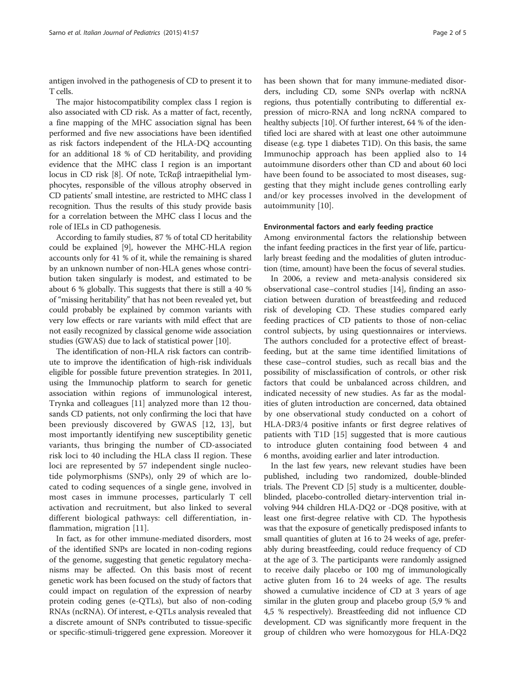antigen involved in the pathogenesis of CD to present it to T cells.

The major histocompatibility complex class I region is also associated with CD risk. As a matter of fact, recently, a fine mapping of the MHC association signal has been performed and five new associations have been identified as risk factors independent of the HLA-DQ accounting for an additional 18 % of CD heritability, and providing evidence that the MHC class I region is an important locus in CD risk [\[8\]](#page-4-0). Of note, TcRαβ intraepithelial lymphocytes, responsible of the villous atrophy observed in CD patients' small intestine, are restricted to MHC class I recognition. Thus the results of this study provide basis for a correlation between the MHC class I locus and the role of IELs in CD pathogenesis.

According to family studies, 87 % of total CD heritability could be explained [\[9](#page-4-0)], however the MHC-HLA region accounts only for 41 % of it, while the remaining is shared by an unknown number of non-HLA genes whose contribution taken singularly is modest, and estimated to be about 6 % globally. This suggests that there is still a 40 % of "missing heritability" that has not been revealed yet, but could probably be explained by common variants with very low effects or rare variants with mild effect that are not easily recognized by classical genome wide association studies (GWAS) due to lack of statistical power [[10](#page-4-0)].

The identification of non-HLA risk factors can contribute to improve the identification of high-risk individuals eligible for possible future prevention strategies. In 2011, using the Immunochip platform to search for genetic association within regions of immunological interest, Trynka and colleagues [[11](#page-4-0)] analyzed more than 12 thousands CD patients, not only confirming the loci that have been previously discovered by GWAS [[12, 13](#page-4-0)], but most importantly identifying new susceptibility genetic variants, thus bringing the number of CD-associated risk loci to 40 including the HLA class II region. These loci are represented by 57 independent single nucleotide polymorphisms (SNPs), only 29 of which are located to coding sequences of a single gene, involved in most cases in immune processes, particularly T cell activation and recruitment, but also linked to several different biological pathways: cell differentiation, inflammation, migration [\[11](#page-4-0)].

In fact, as for other immune-mediated disorders, most of the identified SNPs are located in non-coding regions of the genome, suggesting that genetic regulatory mechanisms may be affected. On this basis most of recent genetic work has been focused on the study of factors that could impact on regulation of the expression of nearby protein coding genes (e-QTLs), but also of non-coding RNAs (ncRNA). Of interest, e-QTLs analysis revealed that a discrete amount of SNPs contributed to tissue-specific or specific-stimuli-triggered gene expression. Moreover it has been shown that for many immune-mediated disorders, including CD, some SNPs overlap with ncRNA regions, thus potentially contributing to differential expression of micro-RNA and long ncRNA compared to healthy subjects [\[10\]](#page-4-0). Of further interest, 64 % of the identified loci are shared with at least one other autoimmune disease (e.g. type 1 diabetes T1D). On this basis, the same Immunochip approach has been applied also to 14 autoimmune disorders other than CD and about 60 loci have been found to be associated to most diseases, suggesting that they might include genes controlling early and/or key processes involved in the development of autoimmunity [[10\]](#page-4-0).

#### Environmental factors and early feeding practice

Among environmental factors the relationship between the infant feeding practices in the first year of life, particularly breast feeding and the modalities of gluten introduction (time, amount) have been the focus of several studies.

In 2006, a review and meta-analysis considered six observational case–control studies [[14](#page-4-0)], finding an association between duration of breastfeeding and reduced risk of developing CD. These studies compared early feeding practices of CD patients to those of non-celiac control subjects, by using questionnaires or interviews. The authors concluded for a protective effect of breastfeeding, but at the same time identified limitations of these case–control studies, such as recall bias and the possibility of misclassification of controls, or other risk factors that could be unbalanced across children, and indicated necessity of new studies. As far as the modalities of gluten introduction are concerned, data obtained by one observational study conducted on a cohort of HLA-DR3/4 positive infants or first degree relatives of patients with T1D [[15\]](#page-4-0) suggested that is more cautious to introduce gluten containing food between 4 and 6 months, avoiding earlier and later introduction.

In the last few years, new relevant studies have been published, including two randomized, double-blinded trials. The Prevent CD [\[5](#page-4-0)] study is a multicenter, doubleblinded, placebo-controlled dietary-intervention trial involving 944 children HLA-DQ2 or -DQ8 positive, with at least one first-degree relative with CD. The hypothesis was that the exposure of genetically predisposed infants to small quantities of gluten at 16 to 24 weeks of age, preferably during breastfeeding, could reduce frequency of CD at the age of 3. The participants were randomly assigned to receive daily placebo or 100 mg of immunologically active gluten from 16 to 24 weeks of age. The results showed a cumulative incidence of CD at 3 years of age similar in the gluten group and placebo group (5,9 % and 4,5 % respectively). Breastfeeding did not influence CD development. CD was significantly more frequent in the group of children who were homozygous for HLA-DQ2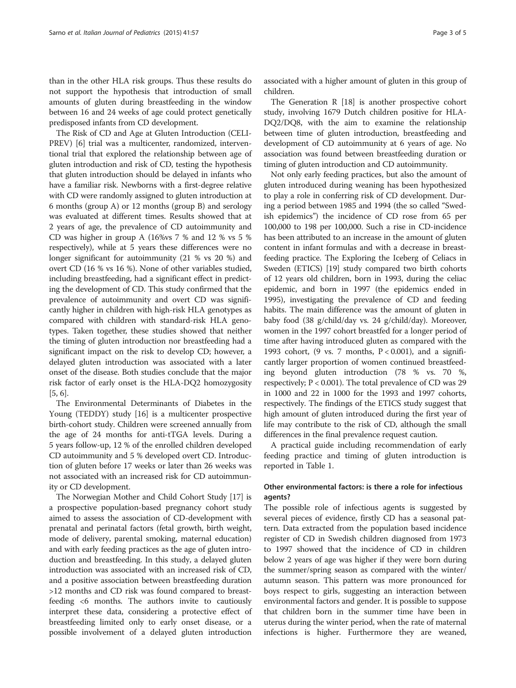than in the other HLA risk groups. Thus these results do not support the hypothesis that introduction of small amounts of gluten during breastfeeding in the window between 16 and 24 weeks of age could protect genetically predisposed infants from CD development.

The Risk of CD and Age at Gluten Introduction (CELI-PREV) [\[6](#page-4-0)] trial was a multicenter, randomized, interventional trial that explored the relationship between age of gluten introduction and risk of CD, testing the hypothesis that gluten introduction should be delayed in infants who have a familiar risk. Newborns with a first-degree relative with CD were randomly assigned to gluten introduction at 6 months (group A) or 12 months (group B) and serology was evaluated at different times. Results showed that at 2 years of age, the prevalence of CD autoimmunity and CD was higher in group A (16%vs 7 % and 12 % vs 5 % respectively), while at 5 years these differences were no longer significant for autoimmunity (21 % vs 20 %) and overt CD (16 % vs 16 %). None of other variables studied, including breastfeeding, had a significant effect in predicting the development of CD. This study confirmed that the prevalence of autoimmunity and overt CD was significantly higher in children with high-risk HLA genotypes as compared with children with standard-risk HLA genotypes. Taken together, these studies showed that neither the timing of gluten introduction nor breastfeeding had a significant impact on the risk to develop CD; however, a delayed gluten introduction was associated with a later onset of the disease. Both studies conclude that the major risk factor of early onset is the HLA-DQ2 homozygosity [[5, 6](#page-4-0)].

The Environmental Determinants of Diabetes in the Young (TEDDY) study [[16](#page-4-0)] is a multicenter prospective birth-cohort study. Children were screened annually from the age of 24 months for anti-tTGA levels. During a 5 years follow-up, 12 % of the enrolled children developed CD autoimmunity and 5 % developed overt CD. Introduction of gluten before 17 weeks or later than 26 weeks was not associated with an increased risk for CD autoimmunity or CD development.

The Norwegian Mother and Child Cohort Study [\[17\]](#page-4-0) is a prospective population-based pregnancy cohort study aimed to assess the association of CD-development with prenatal and perinatal factors (fetal growth, birth weight, mode of delivery, parental smoking, maternal education) and with early feeding practices as the age of gluten introduction and breastfeeding. In this study, a delayed gluten introduction was associated with an increased risk of CD, and a positive association between breastfeeding duration >12 months and CD risk was found compared to breastfeeding <6 months. The authors invite to cautiously interpret these data, considering a protective effect of breastfeeding limited only to early onset disease, or a possible involvement of a delayed gluten introduction

associated with a higher amount of gluten in this group of children.

The Generation R [\[18\]](#page-4-0) is another prospective cohort study, involving 1679 Dutch children positive for HLA-DQ2/DQ8, with the aim to examine the relationship between time of gluten introduction, breastfeeding and development of CD autoimmunity at 6 years of age. No association was found between breastfeeding duration or timing of gluten introduction and CD autoimmunity.

Not only early feeding practices, but also the amount of gluten introduced during weaning has been hypothesized to play a role in conferring risk of CD development. During a period between 1985 and 1994 (the so called "Swedish epidemics") the incidence of CD rose from 65 per 100,000 to 198 per 100,000. Such a rise in CD-incidence has been attributed to an increase in the amount of gluten content in infant formulas and with a decrease in breastfeeding practice. The Exploring the Iceberg of Celiacs in Sweden (ETICS) [[19](#page-4-0)] study compared two birth cohorts of 12 years old children, born in 1993, during the celiac epidemic, and born in 1997 (the epidemics ended in 1995), investigating the prevalence of CD and feeding habits. The main difference was the amount of gluten in baby food (38 g/child/day vs. 24 g/child/day). Moreover, women in the 1997 cohort breastfed for a longer period of time after having introduced gluten as compared with the 1993 cohort, (9 vs. 7 months,  $P < 0.001$ ), and a significantly larger proportion of women continued breastfeeding beyond gluten introduction (78 % vs. 70 %, respectively; P < 0.001). The total prevalence of CD was 29 in 1000 and 22 in 1000 for the 1993 and 1997 cohorts, respectively. The findings of the ETICS study suggest that high amount of gluten introduced during the first year of life may contribute to the risk of CD, although the small differences in the final prevalence request caution.

A practical guide including recommendation of early feeding practice and timing of gluten introduction is reported in Table [1](#page-3-0).

# Other environmental factors: is there a role for infectious agents?

The possible role of infectious agents is suggested by several pieces of evidence, firstly CD has a seasonal pattern. Data extracted from the population based incidence register of CD in Swedish children diagnosed from 1973 to 1997 showed that the incidence of CD in children below 2 years of age was higher if they were born during the summer/spring season as compared with the winter/ autumn season. This pattern was more pronounced for boys respect to girls, suggesting an interaction between environmental factors and gender. It is possible to suppose that children born in the summer time have been in uterus during the winter period, when the rate of maternal infections is higher. Furthermore they are weaned,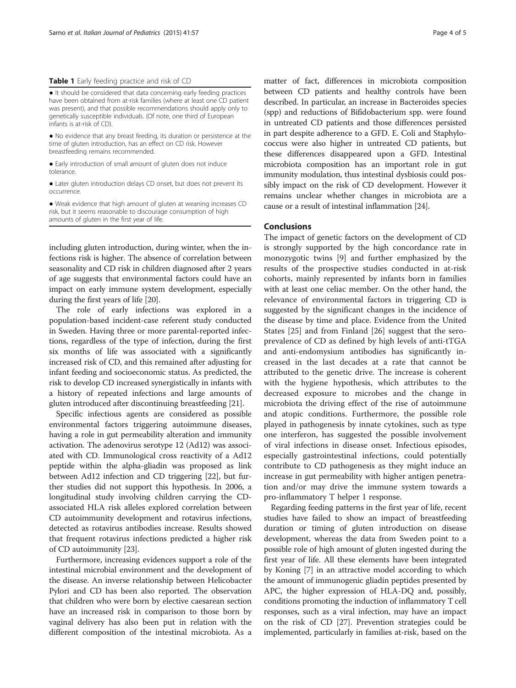#### <span id="page-3-0"></span>Table 1 Early feeding practice and risk of CD

● It should be considered that data concerning early feeding practices have been obtained from at-risk families (where at least one CD patient was present), and that possible recommendations should apply only to genetically susceptible individuals. (Of note, one third of European infants is at-risk of CD).

● No evidence that any breast feeding, its duration or persistence at the time of gluten introduction, has an effect on CD risk. However breastfeeding remains recommended.

● Early introduction of small amount of gluten does not induce tolerance.

• Later gluten introduction delays CD onset, but does not prevent its occurrence.

● Weak evidence that high amount of gluten at weaning increases CD risk, but it seems reasonable to discourage consumption of high amounts of gluten in the first year of life.

including gluten introduction, during winter, when the infections risk is higher. The absence of correlation between seasonality and CD risk in children diagnosed after 2 years of age suggests that environmental factors could have an impact on early immune system development, especially during the first years of life [\[20\]](#page-4-0).

The role of early infections was explored in a population-based incident-case referent study conducted in Sweden. Having three or more parental-reported infections, regardless of the type of infection, during the first six months of life was associated with a significantly increased risk of CD, and this remained after adjusting for infant feeding and socioeconomic status. As predicted, the risk to develop CD increased synergistically in infants with a history of repeated infections and large amounts of gluten introduced after discontinuing breastfeeding [\[21\]](#page-4-0).

Specific infectious agents are considered as possible environmental factors triggering autoimmune diseases, having a role in gut permeability alteration and immunity activation. The adenovirus serotype 12 (Ad12) was associated with CD. Immunological cross reactivity of a Ad12 peptide within the alpha-gliadin was proposed as link between Ad12 infection and CD triggering [[22](#page-4-0)], but further studies did not support this hypothesis. In 2006, a longitudinal study involving children carrying the CDassociated HLA risk alleles explored correlation between CD autoimmunity development and rotavirus infections, detected as rotavirus antibodies increase. Results showed that frequent rotavirus infections predicted a higher risk of CD autoimmunity [[23](#page-4-0)].

Furthermore, increasing evidences support a role of the intestinal microbial environment and the development of the disease. An inverse relationship between Helicobacter Pylori and CD has been also reported. The observation that children who were born by elective caesarean section have an increased risk in comparison to those born by vaginal delivery has also been put in relation with the different composition of the intestinal microbiota. As a

matter of fact, differences in microbiota composition between CD patients and healthy controls have been described. In particular, an increase in Bacteroides species (spp) and reductions of Bifidobacterium spp. were found in untreated CD patients and those differences persisted in part despite adherence to a GFD. E. Coli and Staphylococcus were also higher in untreated CD patients, but these differences disappeared upon a GFD. Intestinal microbiota composition has an important role in gut immunity modulation, thus intestinal dysbiosis could possibly impact on the risk of CD development. However it remains unclear whether changes in microbiota are a cause or a result of intestinal inflammation [\[24](#page-4-0)].

### Conclusions

The impact of genetic factors on the development of CD is strongly supported by the high concordance rate in monozygotic twins [\[9\]](#page-4-0) and further emphasized by the results of the prospective studies conducted in at-risk cohorts, mainly represented by infants born in families with at least one celiac member. On the other hand, the relevance of environmental factors in triggering CD is suggested by the significant changes in the incidence of the disease by time and place. Evidence from the United States [\[25](#page-4-0)] and from Finland [[26\]](#page-4-0) suggest that the seroprevalence of CD as defined by high levels of anti-tTGA and anti-endomysium antibodies has significantly increased in the last decades at a rate that cannot be attributed to the genetic drive. The increase is coherent with the hygiene hypothesis, which attributes to the decreased exposure to microbes and the change in microbiota the driving effect of the rise of autoimmune and atopic conditions. Furthermore, the possible role played in pathogenesis by innate cytokines, such as type one interferon, has suggested the possible involvement of viral infections in disease onset. Infectious episodes, especially gastrointestinal infections, could potentially contribute to CD pathogenesis as they might induce an increase in gut permeability with higher antigen penetration and/or may drive the immune system towards a pro-inflammatory T helper 1 response.

Regarding feeding patterns in the first year of life, recent studies have failed to show an impact of breastfeeding duration or timing of gluten introduction on disease development, whereas the data from Sweden point to a possible role of high amount of gluten ingested during the first year of life. All these elements have been integrated by Koning [[7\]](#page-4-0) in an attractive model according to which the amount of immunogenic gliadin peptides presented by APC, the higher expression of HLA-DQ and, possibly, conditions promoting the induction of inflammatory T cell responses, such as a viral infection, may have an impact on the risk of CD [[27](#page-4-0)]. Prevention strategies could be implemented, particularly in families at-risk, based on the